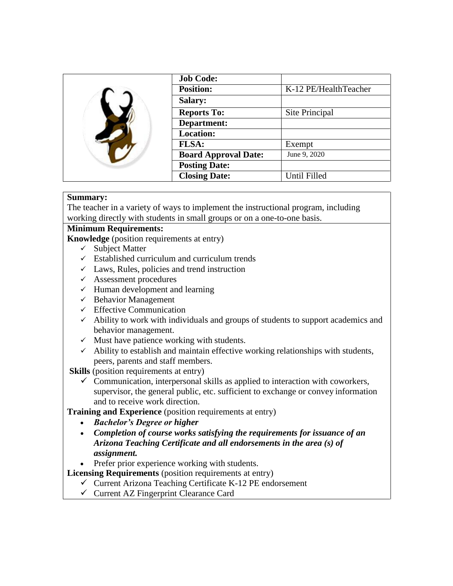|  | <b>Job Code:</b>            |                       |
|--|-----------------------------|-----------------------|
|  | <b>Position:</b>            | K-12 PE/HealthTeacher |
|  | <b>Salary:</b>              |                       |
|  | <b>Reports To:</b>          | Site Principal        |
|  | Department:                 |                       |
|  | <b>Location:</b>            |                       |
|  | <b>FLSA:</b>                | Exempt                |
|  | <b>Board Approval Date:</b> | June 9, 2020          |
|  | <b>Posting Date:</b>        |                       |
|  | <b>Closing Date:</b>        | Until Filled          |

### **Summary:**

The teacher in a variety of ways to implement the instructional program, including working directly with students in small groups or on a one-to-one basis.

# **Minimum Requirements:**

**Knowledge** (position requirements at entry)

- $\checkmark$  Subject Matter
- $\checkmark$  Established curriculum and curriculum trends
- $\checkmark$  Laws, Rules, policies and trend instruction
- $\checkmark$  Assessment procedures
- $\checkmark$  Human development and learning
- $\checkmark$  Behavior Management
- $\checkmark$  Effective Communication
- $\checkmark$  Ability to work with individuals and groups of students to support academics and behavior management.
- $\checkmark$  Must have patience working with students.
- $\checkmark$  Ability to establish and maintain effective working relationships with students, peers, parents and staff members.

**Skills** (position requirements at entry)

 $\checkmark$  Communication, interpersonal skills as applied to interaction with coworkers, supervisor, the general public, etc. sufficient to exchange or convey information and to receive work direction.

**Training and Experience** (position requirements at entry)

- *Bachelor's Degree or higher*
- *Completion of course works satisfying the requirements for issuance of an Arizona Teaching Certificate and all endorsements in the area (s) of assignment.*

Prefer prior experience working with students.

- **Licensing Requirements** (position requirements at entry)
	- $\checkmark$  Current Arizona Teaching Certificate K-12 PE endorsement
	- $\checkmark$  Current AZ Fingerprint Clearance Card